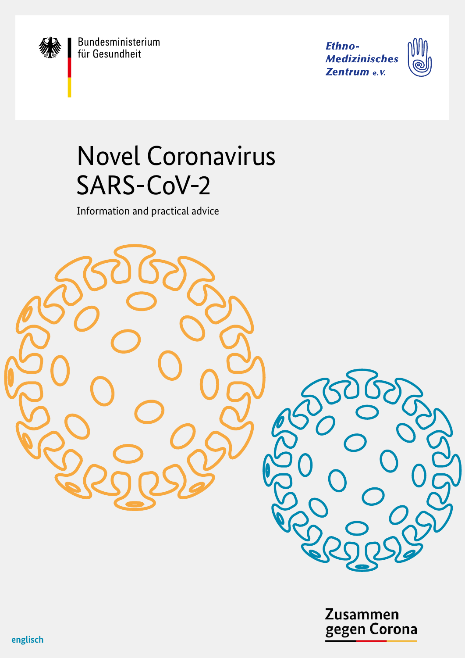

Bundesministerium<br>für Gesundheit

**Ethno-Medizinisches** Zentrum e.v.



# Novel Coronavirus SARS-CoV-2

Information and practical advice



Zusammen gegen Corona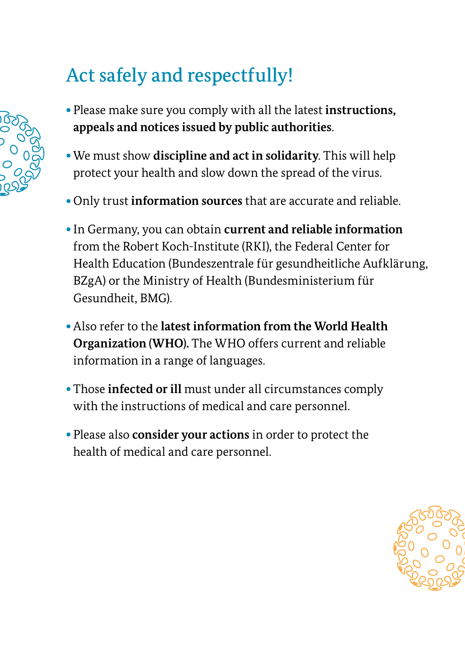# Act safely and respectfully!

- **•** Please make sure you comply with all the latest **instructions, appeals and notices issued by public authorities**.
- **•** We must show **discipline and act in solidarity**. This will help protect your health and slow down the spread of the virus.
- **•** Only trust **information sources** that are accurate and reliable.
- **•** In Germany, you can obtain **current and reliable information** from the Robert Koch-Institute (RKI), the Federal Center for Health Education (Bundeszentrale für gesundheitliche Aufklärung, BZgA) or the Ministry of Health (Bundesministerium für Gesundheit, BMG).
- **•** Also refer to the **latest information from the World Health Organization (WHO).** The WHO offers current and reliable information in a range of languages.
- **•** Those **infected or ill** must under all circumstances comply with the instructions of medical and care personnel.
- **•** Please also **consider your actions** in order to protect the health of medical and care personnel.



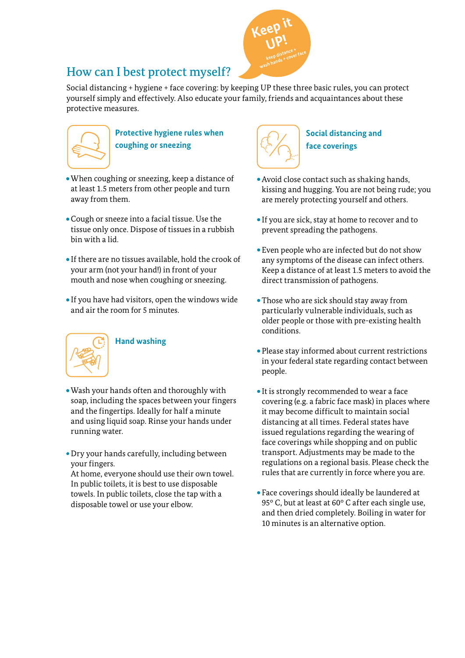

## How can I best protect myself?

Social distancing + hygiene + face covering: by keeping UP these three basic rules, you can protect yourself simply and effectively. Also educate your family, friends and acquaintances about these protective measures.



**Protective hygiene rules when coughing or sneezing**

- **•** When coughing or sneezing, keep a distance of at least 1.5 meters from other people and turn away from them.
- **•** Cough or sneeze into a facial tissue. Use the tissue only once. Dispose of tissues in a rubbish bin with a lid.
- **•** If there are no tissues available, hold the crook of your arm (not your hand!) in front of your mouth and nose when coughing or sneezing.
- **•** If you have had visitors, open the windows wide and air the room for 5 minutes.



#### **Hand washing**

- **•** Wash your hands often and thoroughly with soap, including the spaces between your fingers and the fingertips. Ideally for half a minute and using liquid soap. Rinse your hands under running water.
- Dry your hands carefully, including between your fingers.

At home, everyone should use their own towel. In public toilets, it is best to use disposable towels. In public toilets, close the tap with a disposable towel or use your elbow.



#### **Social distancing and face coverings**

- **•** Avoid close contact such as shaking hands, kissing and hugging. You are not being rude; you are merely protecting yourself and others.
- **•** If you are sick, stay at home to recover and to prevent spreading the pathogens.
- **•** Even people who are infected but do not show any symptoms of the disease can infect others. Keep a distance of at least 1.5 meters to avoid the direct transmission of pathogens.
- **•** Those who are sick should stay away from particularly vulnerable individuals, such as older people or those with pre-existing health conditions.
- **•** Please stay informed about current restrictions in your federal state regarding contact between people.
- **•** It is strongly recommended to wear a face covering (e.g. a fabric face mask) in places where it may become difficult to maintain social distancing at all times. Federal states have issued regulations regarding the wearing of face coverings while shopping and on public transport. Adjustments may be made to the regulations on a regional basis. Please check the rules that are currently in force where you are.
- **•** Face coverings should ideally be laundered at 95° C, but at least at 60° C after each single use, and then dried completely. Boiling in water for 10 minutes is an alternative option.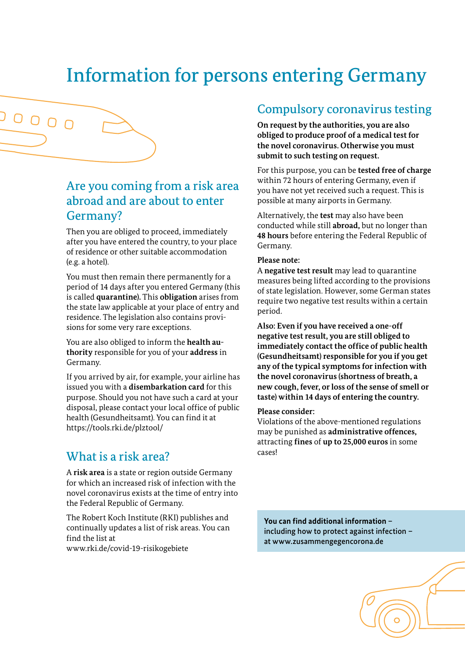# Information for persons entering Germany

## Are you coming from a risk area abroad and are about to enter Germany?

 $000$ 

Then you are obliged to proceed, immediately after you have entered the country, to your place of residence or other suitable accommodation (e.g. a hotel).

You must then remain there permanently for a period of 14 days after you entered Germany (this is called **quarantine).** This **obligation** arises from the state law applicable at your place of entry and residence. The legislation also contains provisions for some very rare exceptions.

You are also obliged to inform the **health authority** responsible for you of your **address** in Germany.

If you arrived by air, for example, your airline has issued you with a **disembarkation card** for this purpose. Should you not have such a card at your disposal, please contact your local office of public health (Gesundheitsamt). You can find it at <https://tools.rki.de/plztool/>

## What is a risk area?

A **risk area** is a state or region outside Germany for which an increased risk of infection with the novel coronavirus exists at the time of entry into the Federal Republic of Germany.

The Robert Koch Institute (RKI) publishes and continually updates a list of risk areas. You can find the list at

[www.rki.de/covid-19-risikogebiete](https://www.rki.de/DE/Content/InfAZ/N/Neuartiges_Coronavirus/Risikogebiete_neu.html)

### Compulsory coronavirus testing

**On request by the authorities, you are also obliged to produce proof of a medical test for the novel coronavirus. Otherwise you must submit to such testing on request.** 

For this purpose, you can be **tested free of charge** within 72 hours of entering Germany, even if you have not yet received such a request. This is possible at many airports in Germany.

Alternatively, the **test** may also have been conducted while still **abroad,** but no longer than **48 hours** before entering the Federal Republic of Germany.

#### **Please note:**

A **negative test result** may lead to quarantine measures being lifted according to the provisions of state legislation. However, some German states require two negative test results within a certain period.

**Also: Even if you have received a one-off negative test result, you are still obliged to immediately contact the office of public health (Gesundheitsamt) responsible for you if you get any of the typical symptoms for infection with the novel coronavirus (shortness of breath, a new cough, fever, or loss of the sense of smell or taste) within 14 days of entering the country.** 

#### **Please consider:**

Violations of the above-mentioned regulations may be punished as **administrative offences,**  attracting **fines** of **up to 25,000 euros** in some cases!

**You can find additional information** – including how to protect against infection – at [www.zusammengegencorona.de](https://www.zusammengegencorona.de/)

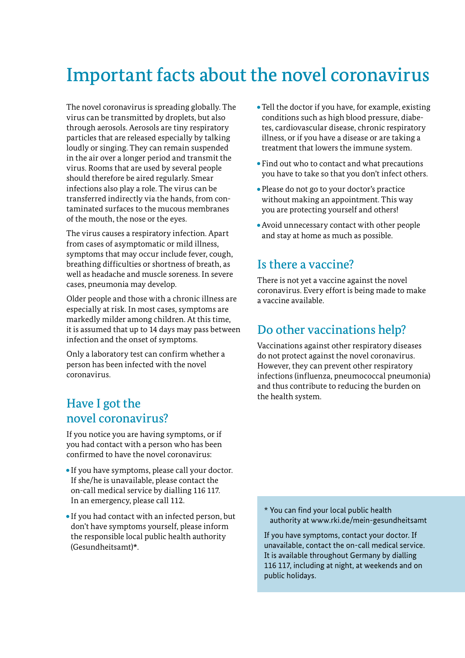## Important facts about the novel coronavirus

The novel coronavirus is spreading globally. The virus can be transmitted by droplets, but also through aerosols. Aerosols are tiny respiratory particles that are released especially by talking loudly or singing. They can remain suspended in the air over a longer period and transmit the virus. Rooms that are used by several people should therefore be aired regularly. Smear infections also play a role. The virus can be transferred indirectly via the hands, from contaminated surfaces to the mucous membranes of the mouth, the nose or the eyes.

The virus causes a respiratory infection. Apart from cases of asymptomatic or mild illness, symptoms that may occur include fever, cough, breathing difficulties or shortness of breath, as well as headache and muscle soreness. In severe cases, pneumonia may develop.

Older people and those with a chronic illness are especially at risk. In most cases, symptoms are markedly milder among children. At this time, it is assumed that up to 14 days may pass between infection and the onset of symptoms.

Only a laboratory test can confirm whether a person has been infected with the novel coronavirus.

### Have I got the novel coronavirus?

If you notice you are having symptoms, or if you had contact with a person who has been confirmed to have the novel coronavirus:

- **•** If you have symptoms, please call your doctor. If she/he is unavailable, please contact the on-call medical service by dialling 116 117. In an emergency, please call 112.
- **•** If you had contact with an infected person, but don't have symptoms yourself, please inform the responsible local public health authority (Gesundheitsamt)\*.
- **•** Tell the doctor if you have, for example, existing conditions such as high blood pressure, diabetes, cardiovascular disease, chronic respiratory illness, or if you have a disease or are taking a treatment that lowers the immune system.
- **•** Find out who to contact and what precautions you have to take so that you don't infect others.
- **•** Please do not go to your doctor's practice without making an appointment. This way you are protecting yourself and others!
- **•** Avoid unnecessary contact with other people and stay at home as much as possible.

### Is there a vaccine?

There is not yet a vaccine against the novel coronavirus. Every effort is being made to make a vaccine available.

### Do other vaccinations help?

Vaccinations against other respiratory diseases do not protect against the novel coronavirus. However, they can prevent other respiratory infections (influenza, pneumococcal pneumonia) and thus contribute to reducing the burden on the health system.

\* You can find your local public health authority at [www.rki.de/mein](www.rki.de/mein-gesundheitsamt)-gesundheitsamt

If you have symptoms, contact your doctor. If unavailable, contact the on-call medical service. It is available throughout Germany by dialling 116 117, including at night, at weekends and on public holidays.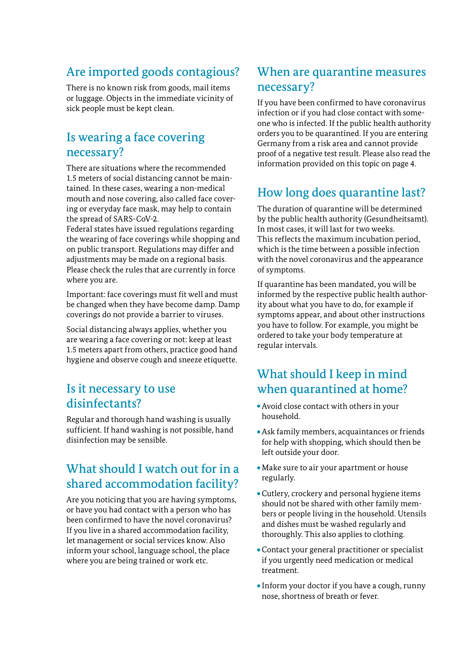### Are imported goods contagious?

There is no known risk from goods, mail items or luggage. Objects in the immediate vicinity of sick people must be kept clean.

## Is wearing a face covering necessary?

There are situations where the recommended 1.5 meters of social distancing cannot be maintained. In these cases, wearing a non-medical mouth and nose covering, also called face covering or everyday face mask, may help to contain the spread of SARS-CoV-2.

Federal states have issued regulations regarding the wearing of face coverings while shopping and on public transport. Regulations may differ and adjustments may be made on a regional basis. Please check the rules that are currently in force where you are.

Important: face coverings must fit well and must be changed when they have become damp. Damp coverings do not provide a barrier to viruses.

Social distancing always applies, whether you are wearing a face covering or not: keep at least 1.5 meters apart from others, practice good hand hygiene and observe cough and sneeze etiquette.

### Is it necessary to use disinfectants?

Regular and thorough hand washing is usually sufficient. If hand washing is not possible, hand disinfection may be sensible.

## What should I watch out for in a shared accommodation facility?

Are you noticing that you are having symptoms, or have you had contact with a person who has been confirmed to have the novel coronavirus? If you live in a shared accommodation facility, let management or social services know. Also inform your school, language school, the place where you are being trained or work etc.

### When are quarantine measures necessary?

If you have been confirmed to have coronavirus infection or if you had close contact with someone who is infected. If the public health authority orders you to be quarantined. If you are entering Germany from a risk area and cannot provide proof of a negative test result. Please also read the information provided on this topic on page 4.

## How long does quarantine last?

The duration of quarantine will be determined by the public health authority (Gesundheitsamt). In most cases, it will last for two weeks. This reflects the maximum incubation period, which is the time between a possible infection with the novel coronavirus and the appearance of symptoms.

If quarantine has been mandated, you will be informed by the respective public health authority about what you have to do, for example if symptoms appear, and about other instructions you have to follow. For example, you might be ordered to take your body temperature at regular intervals.

## What should I keep in mind when quarantined at home?

- **•** Avoid close contact with others in your household.
- **•** Ask family members, acquaintances or friends for help with shopping, which should then be left outside your door.
- **•** Make sure to air your apartment or house regularly.
- **•** Cutlery, crockery and personal hygiene items should not be shared with other family members or people living in the household. Utensils and dishes must be washed regularly and thoroughly. This also applies to clothing.
- **•** Contact your general practitioner or specialist if you urgently need medication or medical treatment.
- **•** Inform your doctor if you have a cough, runny nose, shortness of breath or fever.